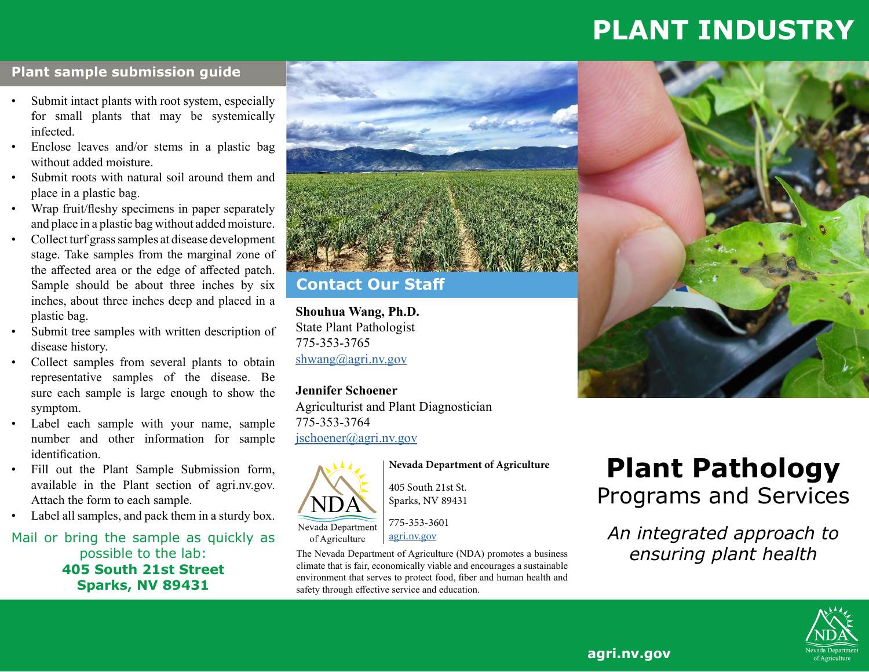# **PLANT INDUSTRY**

#### **Plant sample submission guide**

- Submit intact plants with root system, especially for small plants that may be systemically infected.
- Enclose leaves and/or stems in a plastic bag without added moisture.
- Submit roots with natural soil around them and place in a plastic bag.
- Wrap fruit/fleshy specimens in paper separately and place in a plastic bag without added moisture.
- Collect turf grass samples at disease development stage. Take samples from the marginal zone of the affected area or the edge of affected patch. Sample should be about three inches by six inches, about three inches deep and placed in a plastic bag.
- Submit tree samples with written description of disease history.
- Collect samples from several plants to obtain representative samples of the disease. Be sure each sample is large enough to show the symptom.
- Label each sample with your name, sample number and other information for sample identification.
- Fill out the Plant Sample Submission form, available in the Plant section of agri.nv.gov. Attach the form to each sample.
- Label all samples, and pack them in a sturdy box.

Mail or bring the sample as quickly as possible to the lab: **405 South 21st Street Sparks, NV 89431**



#### **Contact Our Staff**

**Shouhua Wang, Ph.D.** State Plant Pathologist 775-353-3765 [shwang@agri.nv.gov](mailto:shwang%40agri.nv.gov?subject=)

**Jennifer Schoener** Agriculturist and Plant Diagnostician 775-353-3764 [jschoener@agri.nv.gov](mailto:jschoener%40agri.nv.gov?subject=)



**Nevada Department of Agriculture**

405 South 21st St. Sparks, NV 89431

775-353-3601 [agri.nv.gov](http://agri.nv.gov)

The Nevada Department of Agriculture (NDA) promotes a business climate that is fair, economically viable and encourages a sustainable environment that serves to protect food, fiber and human health and safety through effective service and education.





*An integrated approach to ensuring plant health*